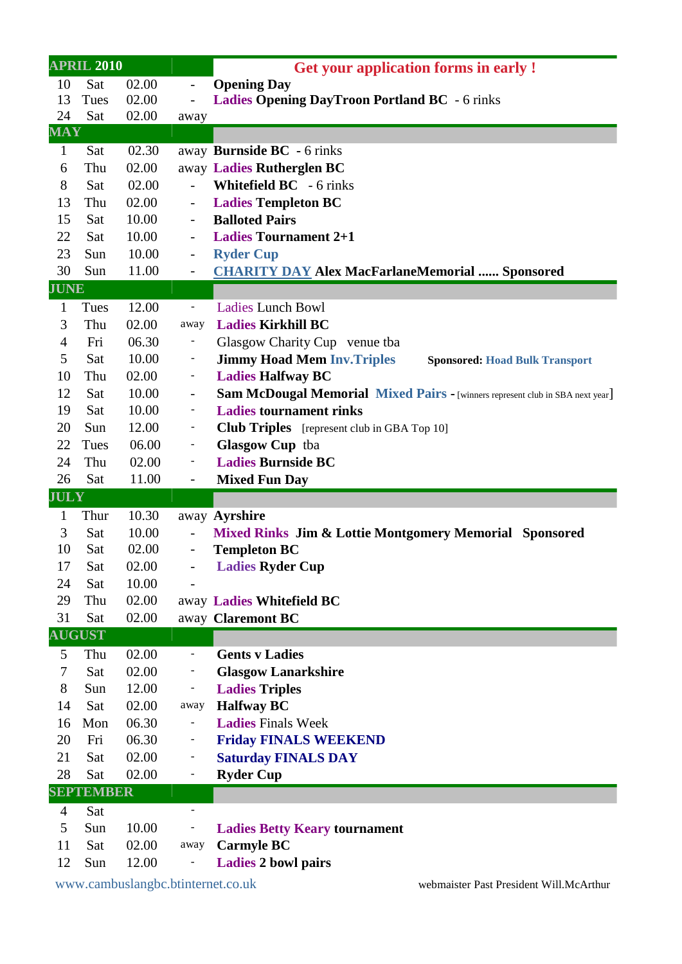| <b>APRIL 2010</b> |                  |       |                          | <b>Get your application forms in early!</b>                                   |  |
|-------------------|------------------|-------|--------------------------|-------------------------------------------------------------------------------|--|
| 10                | Sat              | 02.00 | $\overline{\phantom{m}}$ | <b>Opening Day</b>                                                            |  |
| 13                | Tues             | 02.00 |                          | <b>Ladies Opening DayTroon Portland BC</b> - 6 rinks                          |  |
| 24                | Sat              | 02.00 | away                     |                                                                               |  |
| $\mathbf{MAY}$    |                  |       |                          |                                                                               |  |
| $\mathbf{1}$      | Sat              | 02.30 |                          | away Burnside BC - 6 rinks                                                    |  |
| 6                 | Thu              | 02.00 |                          | away Ladies Rutherglen BC                                                     |  |
| 8                 | Sat              | 02.00 |                          | <b>Whitefield BC</b> - 6 rinks                                                |  |
| 13                | Thu              | 02.00 | $\overline{\phantom{a}}$ | <b>Ladies Templeton BC</b>                                                    |  |
| 15                | Sat              | 10.00 | $\blacksquare$           | <b>Balloted Pairs</b>                                                         |  |
| 22                | Sat              | 10.00 | $\overline{\phantom{a}}$ | <b>Ladies Tournament 2+1</b>                                                  |  |
| 23                | Sun              | 10.00 | $\overline{\phantom{0}}$ | <b>Ryder Cup</b>                                                              |  |
| 30                | Sun              | 11.00 | $\overline{\phantom{0}}$ | <b>CHARITY DAY Alex MacFarlaneMemorial  Sponsored</b>                         |  |
| <b>JUNE</b>       |                  |       |                          |                                                                               |  |
| $\mathbf{1}$      | Tues             | 12.00 | $\overline{\phantom{a}}$ | <b>Ladies Lunch Bowl</b>                                                      |  |
| 3                 | Thu              | 02.00 | away                     | <b>Ladies Kirkhill BC</b>                                                     |  |
| $\overline{4}$    | Fri              | 06.30 | Ξ.                       | Glasgow Charity Cup venue tba                                                 |  |
| 5                 | Sat              | 10.00 | -                        | <b>Jimmy Hoad Mem Inv. Triples</b><br><b>Sponsored: Hoad Bulk Transport</b>   |  |
| 10                | Thu              | 02.00 | ۳                        | <b>Ladies Halfway BC</b>                                                      |  |
| 12                | Sat              | 10.00 | $\overline{\phantom{a}}$ | Sam McDougal Memorial Mixed Pairs - [winners represent club in SBA next year] |  |
| 19                | Sat              | 10.00 | -                        | <b>Ladies tournament rinks</b>                                                |  |
| 20                | Sun              | 12.00 | ۳                        | <b>Club Triples</b> [represent club in GBA Top 10]                            |  |
| 22                | Tues             | 06.00 | ۰.                       | Glasgow Cup tba                                                               |  |
| 24                | Thu              | 02.00 |                          | <b>Ladies Burnside BC</b>                                                     |  |
|                   |                  |       |                          |                                                                               |  |
| 26                | Sat              | 11.00 | $\blacksquare$           | <b>Mixed Fun Day</b>                                                          |  |
| <b>JULY</b>       |                  |       |                          |                                                                               |  |
| $\mathbf{1}$      | Thur             | 10.30 |                          | away Ayrshire                                                                 |  |
| 3                 | Sat              | 10.00 | $\qquad \qquad -$        | Mixed Rinks Jim & Lottie Montgomery Memorial Sponsored                        |  |
| 10                | Sat              | 02.00 | $\overline{\phantom{a}}$ | <b>Templeton BC</b>                                                           |  |
| 17                | Sat              | 02.00 |                          | <b>Ladies Ryder Cup</b>                                                       |  |
| 24                | Sat              | 10.00 |                          |                                                                               |  |
| 29                | Thu              | 02.00 |                          | away Ladies Whitefield BC                                                     |  |
| 31                | Sat              | 02.00 |                          | away Claremont BC                                                             |  |
|                   | <b>AUGUST</b>    |       |                          |                                                                               |  |
| 5                 | Thu              | 02.00 | $\blacksquare$           | <b>Gents v Ladies</b>                                                         |  |
| 7                 | Sat              | 02.00 |                          | <b>Glasgow Lanarkshire</b>                                                    |  |
| 8                 | Sun              | 12.00 |                          | <b>Ladies Triples</b>                                                         |  |
| 14                | Sat              | 02.00 | away                     | <b>Halfway BC</b>                                                             |  |
| 16                | Mon              | 06.30 |                          | <b>Ladies Finals Week</b>                                                     |  |
| 20                | Fri              | 06.30 | -                        | <b>Friday FINALS WEEKEND</b>                                                  |  |
| 21                | Sat              | 02.00 |                          | <b>Saturday FINALS DAY</b>                                                    |  |
| 28                | Sat              | 02.00 | ۰                        | <b>Ryder Cup</b>                                                              |  |
|                   | <b>SEPTEMBER</b> |       |                          |                                                                               |  |
| $\overline{4}$    | Sat              |       | $\overline{\phantom{a}}$ |                                                                               |  |
| 5                 | Sun              | 10.00 |                          | <b>Ladies Betty Keary tournament</b>                                          |  |
| 11                | Sat              | 02.00 | away                     | <b>Carmyle BC</b>                                                             |  |